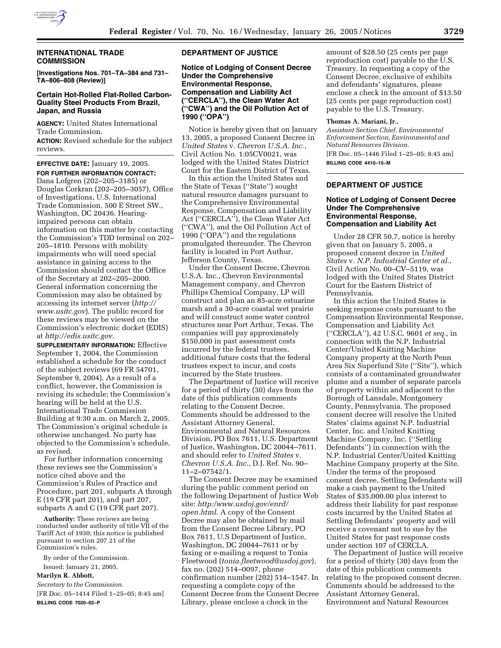

## **INTERNATIONAL TRADE COMMISSION**

**[Investigations Nos. 701–TA–384 and 731– TA–806–808 (Review)]** 

# **Certain Hot-Rolled Flat-Rolled Carbon-Quality Steel Products From Brazil, Japan, and Russia**

**AGENCY:** United States International Trade Commission.

**ACTION:** Revised schedule for the subject reviews.

# **EFFECTIVE DATE:** January 19, 2005. **FOR FURTHER INFORMATION CONTACT:**

Dana Lofgren (202–205–3185) or Douglas Corkran (202–205–3057), Office of Investigations, U.S. International Trade Commission, 500 E Street SW., Washington, DC 20436. Hearingimpaired persons can obtain information on this matter by contacting the Commission's TDD terminal on 202– 205–1810. Persons with mobility impairments who will need special assistance in gaining access to the Commission should contact the Office of the Secretary at 202–205–2000. General information concerning the Commission may also be obtained by accessing its internet server (*http:// www.usitc.gov*). The public record for these reviews may be viewed on the Commission's electronic docket (EDIS) at *http://edis.usitc.gov.*

**SUPPLEMENTARY INFORMATION:** Effective September 1, 2004, the Commission established a schedule for the conduct of the subject reviews (69 FR 54701, September 9, 2004). As a result of a conflict, however, the Commission is revising its schedule; the Commission's hearing will be held at the U.S. International Trade Commission Building at 9:30 a.m. on March 2, 2005. The Commission's original schedule is otherwise unchanged. No party has objected to the Commission's schedule, as revised.

For further information concerning these reviews see the Commission's notice cited above and the Commission's Rules of Practice and Procedure, part 201, subparts A through E (19 CFR part 201), and part 207, subparts A and C (19 CFR part 207).

**Authority:** These reviews are being conducted under authority of title VII of the Tariff Act of 1930; this notice is published pursuant to section 207.21 of the Commission's rules.

By order of the Commission. Issued: January 21, 2005.

### **Marilyn R. Abbott,**

*Secretary to the Commission.*

[FR Doc. 05–1414 Filed 1–25–05; 8:45 am] **BILLING CODE 7020–02–P**

## **DEPARTMENT OF JUSTICE**

# **Notice of Lodging of Consent Decree Under the Comprehensive Environmental Response, Compensation and Liability Act (''CERCLA''), the Clean Water Act (''CWA'') and the Oil Pollution Act of 1990 (''OPA'')**

Notice is hereby given that on January 13, 2005, a proposed Consent Decree in *United States* v. *Chevron U.S.A. Inc.*, Civil Action No. 1:05CV0021, was lodged with the United States District Court for the Eastern District of Texas.

In this action the United States and the State of Texas (''State'') sought natural resource damages pursuant to the Comprehensive Environmental Response, Compensation and Liability Act (''CERCLA''), the Clean Water Act (''CWA''), and the Oil Pollution Act of 1990 (''OPA'') and the regulations promulgated thereunder. The Chevron facility is located in Port Authur, Jefferson County, Texas.

Under the Consent Decree, Chevron U.S.A. Inc., Chevron Environmental Management company, and Chevron Phillips Chemical Company, LP will construct and plan an 85-acre estuarine marsh and a 30-acre coastal wet prairie and will construct some water control structures near Port Arthur, Texas. The companies will pay approximately \$150,000 in past assessment costs incurred by the federal trustees, additional future costs that the federal trustees expect to incur, and costs incurred by the State trustees.

The Department of Justice will receive for a period of thirty (30) days from the date of this publication comments relating to the Consent Decree. Comments should be addressed to the Assistant Attorney General, Environmental and Natural Resources Division, PO Box 7611, U.S. Department of Justice, Washington, DC 20044–7611, and should refer to *United States* v. *Chevron U.S.A. Inc.*, D.J. Ref. No. 90– 11–2–07542/1.

The Consent Decree may be examined during the public comment period on the following Department of Justice Web site: *http:/www.usdoj.gov/enrd/ open.html*. A copy of the Consent Decree may also be obtained by mail from the Consent Decree Library, PO Box 7611, U.S Department of Justice, Washington, DC 20044–7611 or by faxing or e-mailing a request to Tonia Fleetwood (*tonia.fleetwood@usdoj.gov*), fax no. (202) 514–0097, phone confirmation number (202) 514–1547. In requesting a complete copy of the Consent Decree from the Consent Decree Library, please enclose a check in the

amount of \$28.50 (25 cents per page reproduction cost) payable to the U.S. Treasury. In requesting a copy of the Consent Decree, exclusive of exhibits and defendants' signatures, please enclose a check in the amount of \$13.50 (25 cents per page reproduction cost) payable to the U.S. Treasury.

#### **Thomas A. Mariani, Jr.,**

*Assistant Section Chief, Environmental Enforcement Section, Environmental and Natural Resources Division.* [FR Doc. 05–1446 Filed 1–25–05; 8:45 am] **BILLING CODE 4410–15–M**

## **DEPARTMENT OF JUSTICE**

## **Notice of Lodging of Consent Decree Under The Comprehensive Environmental Response, Compensation and Liability Act**

Under 28 CFR 50.7, notice is hereby given that on January 5, 2005, a proposed consent decree in *United States* v. *N.P. Industrial Center et al.*, Civil Action No. 00–CV–5119, was lodged with the United States District Court for the Eastern District of Pennsylvania.

In this action the United States is seeking response costs pursuant to the Compensation Environmental Response, Compensation and Liability Act (''CERCLA''), 42 U.S.C. 9601 *et seq.*, in connection with the N.P. Industrial Center/United Knitting Machine Company property at the North Penn Area Six Superfund Site (''Site''), which consists of a contaminated groundwater plume and a number of separate parcels of property within and adjacent to the Borough of Lansdale, Montgomery County, Pennsylvania. The proposed consent decree will resolve the United States' claims against N.P. Industrial Center, Inc. and United Knitting Machine Company, Inc. (''Settling Defendants'') in connection with the N.P. Industrial Center/United Knitting Machine Company property at the Site. Under the terms of the proposed consent decree, Settling Defendants will make a cash payment to the United States of \$35,000.00 plus interest to address their liability for past response costs incurred by the United States at Settling Defendants' property and will receive a covenant not to sue by the United States for past response costs under section 107 of CERCLA.

The Department of Justice will receive for a period of thirty (30) days from the date of this publication comments relating to the proposed consent decree. Comments should be addressed to the Assistant Attorney General, Environment and Natural Resources